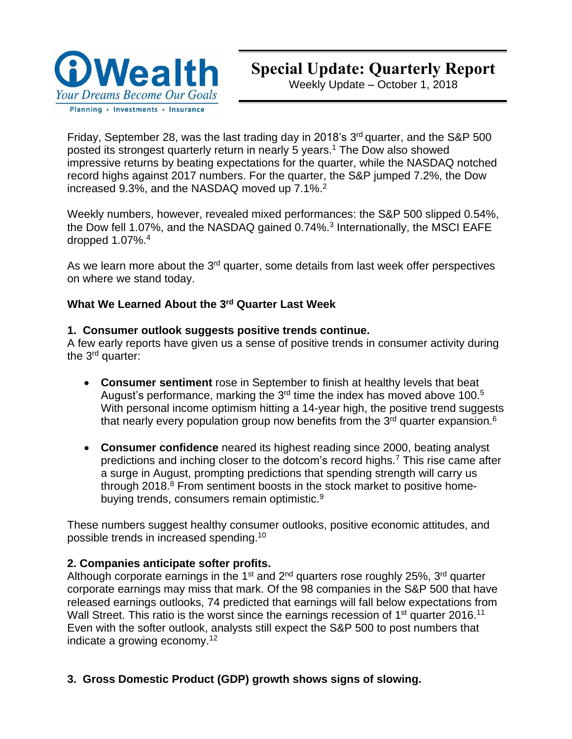

Weekly Update – October 1, 2018

Friday, September 28, was the last trading day in 2018's 3<sup>rd</sup> quarter, and the S&P 500 posted its strongest quarterly return in nearly 5 years.<sup>1</sup> The Dow also showed impressive returns by beating expectations for the quarter, while the NASDAQ notched record highs against 2017 numbers. For the quarter, the S&P jumped 7.2%, the Dow increased 9.3%, and the NASDAQ moved up 7.1%.<sup>2</sup>

Weekly numbers, however, revealed mixed performances: the S&P 500 slipped 0.54%, the Dow fell 1.07%, and the NASDAQ gained 0.74%.<sup>3</sup> Internationally, the MSCI EAFE dropped 1.07%. 4

As we learn more about the 3<sup>rd</sup> quarter, some details from last week offer perspectives on where we stand today.

## **What We Learned About the 3 rd Quarter Last Week**

## **1. Consumer outlook suggests positive trends continue.**

A few early reports have given us a sense of positive trends in consumer activity during the 3<sup>rd</sup> quarter:

- **Consumer sentiment** rose in September to finish at healthy levels that beat August's performance, marking the 3<sup>rd</sup> time the index has moved above 100.<sup>5</sup> With personal income optimism hitting a 14-year high, the positive trend suggests that nearly every population group now benefits from the 3<sup>rd</sup> quarter expansion.<sup>6</sup>
- **Consumer confidence** neared its highest reading since 2000, beating analyst predictions and inching closer to the dotcom's record highs.<sup>7</sup> This rise came after a surge in August, prompting predictions that spending strength will carry us through 2018.<sup>8</sup> From sentiment boosts in the stock market to positive homebuying trends, consumers remain optimistic.<sup>9</sup>

These numbers suggest healthy consumer outlooks, positive economic attitudes, and possible trends in increased spending.<sup>10</sup>

## **2. Companies anticipate softer profits.**

Although corporate earnings in the 1<sup>st</sup> and 2<sup>nd</sup> quarters rose roughly 25%, 3<sup>rd</sup> quarter corporate earnings may miss that mark. Of the 98 companies in the S&P 500 that have released earnings outlooks, 74 predicted that earnings will fall below expectations from Wall Street. This ratio is the worst since the earnings recession of 1<sup>st</sup> quarter 2016.<sup>11</sup> Even with the softer outlook, analysts still expect the S&P 500 to post numbers that indicate a growing economy.<sup>12</sup>

**3. Gross Domestic Product (GDP) growth shows signs of slowing.**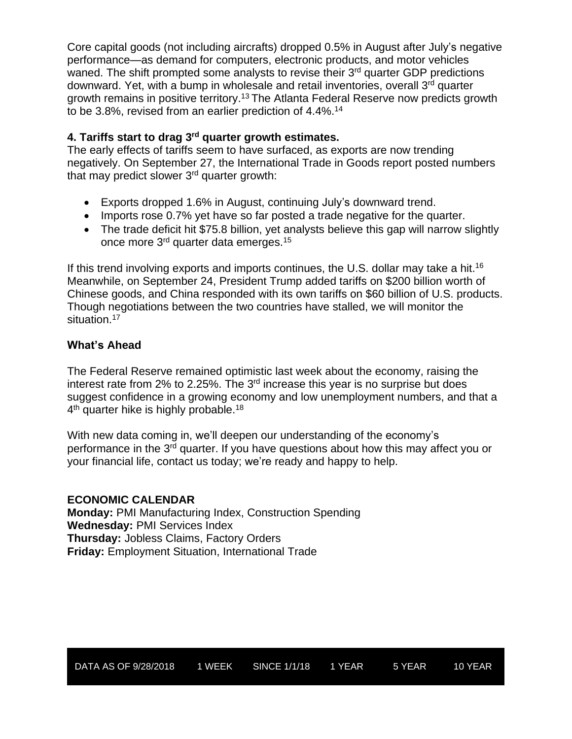Core capital goods (not including aircrafts) dropped 0.5% in August after July's negative performance—as demand for computers, electronic products, and motor vehicles waned. The shift prompted some analysts to revise their 3<sup>rd</sup> quarter GDP predictions downward. Yet, with a bump in wholesale and retail inventories, overall 3<sup>rd</sup> quarter growth remains in positive territory.<sup>13</sup> The Atlanta Federal Reserve now predicts growth to be 3.8%, revised from an earlier prediction of 4.4%. 14

## **4. Tariffs start to drag 3 rd quarter growth estimates.**

The early effects of tariffs seem to have surfaced, as exports are now trending negatively. On September 27, the International Trade in Goods report posted numbers that may predict slower 3<sup>rd</sup> quarter growth:

- Exports dropped 1.6% in August, continuing July's downward trend.
- Imports rose 0.7% yet have so far posted a trade negative for the quarter.
- The trade deficit hit \$75.8 billion, yet analysts believe this gap will narrow slightly once more 3<sup>rd</sup> quarter data emerges.<sup>15</sup>

If this trend involving exports and imports continues, the U.S. dollar may take a hit.<sup>16</sup> Meanwhile, on September 24, President Trump added tariffs on \$200 billion worth of Chinese goods, and China responded with its own tariffs on \$60 billion of U.S. products. Though negotiations between the two countries have stalled, we will monitor the situation.<sup>17</sup>

## **What's Ahead**

The Federal Reserve remained optimistic last week about the economy, raising the interest rate from 2% to 2.25%. The 3<sup>rd</sup> increase this year is no surprise but does suggest confidence in a growing economy and low unemployment numbers, and that a  $4^{\text{th}}$  quarter hike is highly probable.<sup>18</sup>

With new data coming in, we'll deepen our understanding of the economy's performance in the 3<sup>rd</sup> quarter. If you have questions about how this may affect you or your financial life, contact us today; we're ready and happy to help.

### **ECONOMIC CALENDAR**

**Monday:** PMI Manufacturing Index, Construction Spending **Wednesday:** PMI Services Index **Thursday:** Jobless Claims, Factory Orders **Friday:** Employment Situation, International Trade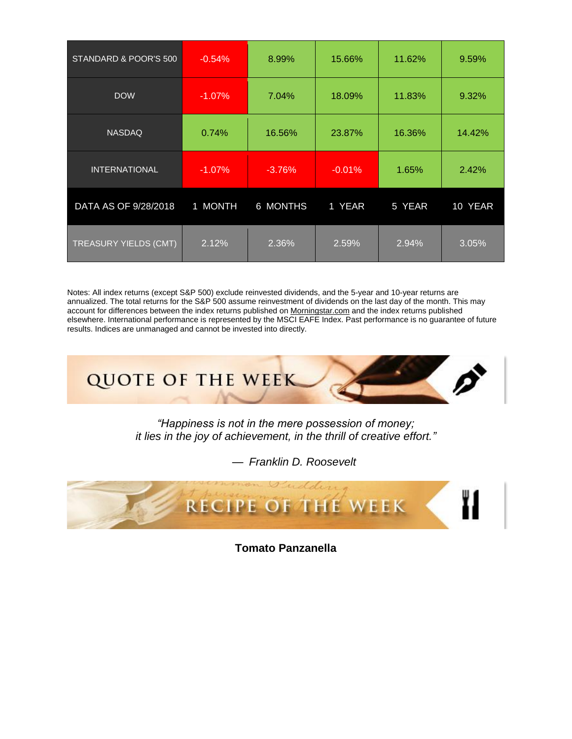| STANDARD & POOR'S 500        | $-0.54%$  | 8.99%    | 15.66%   | 11.62% | 9.59%   |
|------------------------------|-----------|----------|----------|--------|---------|
| <b>DOW</b>                   | $-1.07\%$ | 7.04%    | 18.09%   | 11.83% | 9.32%   |
| <b>NASDAQ</b>                | 0.74%     | 16.56%   | 23.87%   | 16.36% | 14.42%  |
| <b>INTERNATIONAL</b>         | $-1.07\%$ | $-3.76%$ | $-0.01%$ | 1.65%  | 2.42%   |
| DATA AS OF 9/28/2018         | 1 MONTH   | 6 MONTHS | 1 YEAR   | 5 YEAR | 10 YEAR |
| <b>TREASURY YIELDS (CMT)</b> | 2.12%     | 2.36%    | 2.59%    | 2.94%  | 3.05%   |

Notes: All index returns (except S&P 500) exclude reinvested dividends, and the 5-year and 10-year returns are annualized. The total returns for the S&P 500 assume reinvestment of dividends on the last day of the month. This may account for differences between the index returns published on [Morningstar.com](http://morningstar.com/) and the index returns published elsewhere. International performance is represented by the MSCI EAFE Index. Past performance is no guarantee of future results. Indices are unmanaged and cannot be invested into directly.



*"Happiness is not in the mere possession of money; it lies in the joy of achievement, in the thrill of creative effort."*

— *Franklin D. Roosevelt*



**Tomato Panzanella**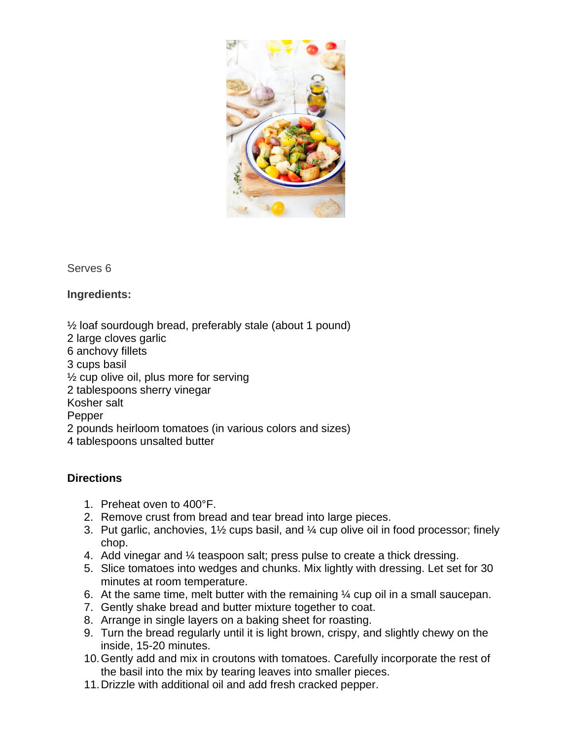

Serves 6

**Ingredients:**

½ loaf sourdough bread, preferably stale (about 1 pound) 2 large cloves garlic 6 anchovy fillets 3 cups basil  $\frac{1}{2}$  cup olive oil, plus more for serving 2 tablespoons sherry vinegar Kosher salt Pepper 2 pounds heirloom tomatoes (in various colors and sizes) 4 tablespoons unsalted butter

# **Directions**

- 1. Preheat oven to 400°F.
- 2. Remove crust from bread and tear bread into large pieces.
- 3. Put garlic, anchovies, 1½ cups basil, and ¼ cup olive oil in food processor; finely chop.
- 4. Add vinegar and ¼ teaspoon salt; press pulse to create a thick dressing.
- 5. Slice tomatoes into wedges and chunks. Mix lightly with dressing. Let set for 30 minutes at room temperature.
- 6. At the same time, melt butter with the remaining  $\frac{1}{4}$  cup oil in a small saucepan.
- 7. Gently shake bread and butter mixture together to coat.
- 8. Arrange in single layers on a baking sheet for roasting.
- 9. Turn the bread regularly until it is light brown, crispy, and slightly chewy on the inside, 15-20 minutes.
- 10.Gently add and mix in croutons with tomatoes. Carefully incorporate the rest of the basil into the mix by tearing leaves into smaller pieces.
- 11.Drizzle with additional oil and add fresh cracked pepper.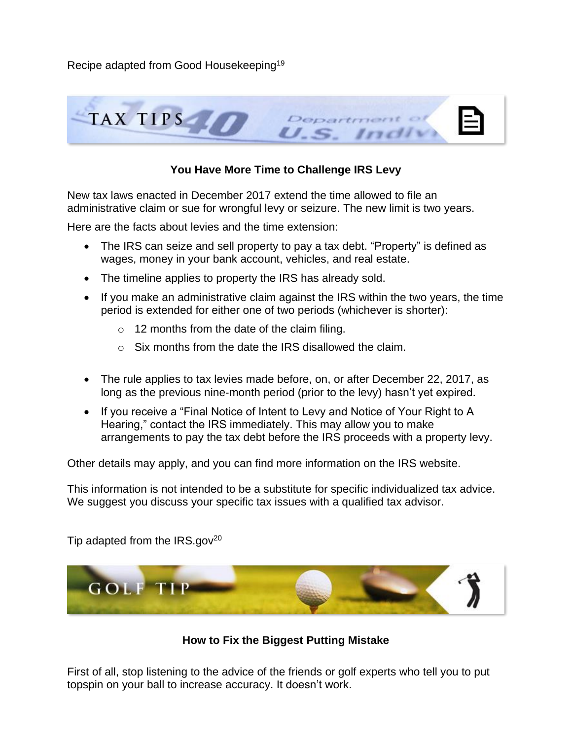Recipe adapted from Good Housekeeping<sup>19</sup>



## **You Have More Time to Challenge IRS Levy**

New tax laws enacted in December 2017 extend the time allowed to file an administrative claim or sue for wrongful levy or seizure. The new limit is two years.

Here are the facts about levies and the time extension:

- The IRS can seize and sell property to pay a tax debt. "Property" is defined as wages, money in your bank account, vehicles, and real estate.
- The timeline applies to property the IRS has already sold.
- If you make an administrative claim against the IRS within the two years, the time period is extended for either one of two periods (whichever is shorter):
	- $\circ$  12 months from the date of the claim filing.
	- $\circ$  Six months from the date the IRS disallowed the claim.
- The rule applies to tax levies made before, on, or after December 22, 2017, as long as the previous nine-month period (prior to the levy) hasn't yet expired.
- If you receive a "Final Notice of Intent to Levy and Notice of Your Right to A Hearing," contact the IRS immediately. This may allow you to make arrangements to pay the tax debt before the IRS proceeds with a property levy.

Other details may apply, and you can find more information on the IRS website.

This information is not intended to be a substitute for specific individualized tax advice. We suggest you discuss your specific tax issues with a qualified tax advisor.

Tip adapted from the  $IRS.gov^{20}$ 



### **How to Fix the Biggest Putting Mistake**

First of all, stop listening to the advice of the friends or golf experts who tell you to put topspin on your ball to increase accuracy. It doesn't work.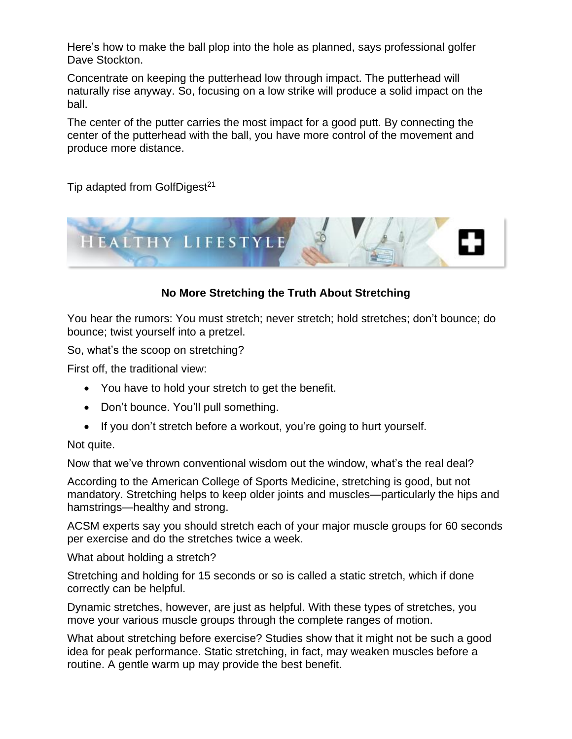Here's how to make the ball plop into the hole as planned, says professional golfer Dave Stockton.

Concentrate on keeping the putterhead low through impact. The putterhead will naturally rise anyway. So, focusing on a low strike will produce a solid impact on the ball.

The center of the putter carries the most impact for a good putt. By connecting the center of the putterhead with the ball, you have more control of the movement and produce more distance.

Tip adapted from GolfDigest<sup>21</sup>



## **No More Stretching the Truth About Stretching**

You hear the rumors: You must stretch; never stretch; hold stretches; don't bounce; do bounce; twist yourself into a pretzel.

So, what's the scoop on stretching?

First off, the traditional view:

- You have to hold your stretch to get the benefit.
- Don't bounce. You'll pull something.
- If you don't stretch before a workout, you're going to hurt yourself.

### Not quite.

Now that we've thrown conventional wisdom out the window, what's the real deal?

According to the American College of Sports Medicine, stretching is good, but not mandatory. Stretching helps to keep older joints and muscles—particularly the hips and hamstrings—healthy and strong.

ACSM experts say you should stretch each of your major muscle groups for 60 seconds per exercise and do the stretches twice a week.

What about holding a stretch?

Stretching and holding for 15 seconds or so is called a static stretch, which if done correctly can be helpful.

Dynamic stretches, however, are just as helpful. With these types of stretches, you move your various muscle groups through the complete ranges of motion.

What about stretching before exercise? Studies show that it might not be such a good idea for peak performance. Static stretching, in fact, may weaken muscles before a routine. A gentle warm up may provide the best benefit.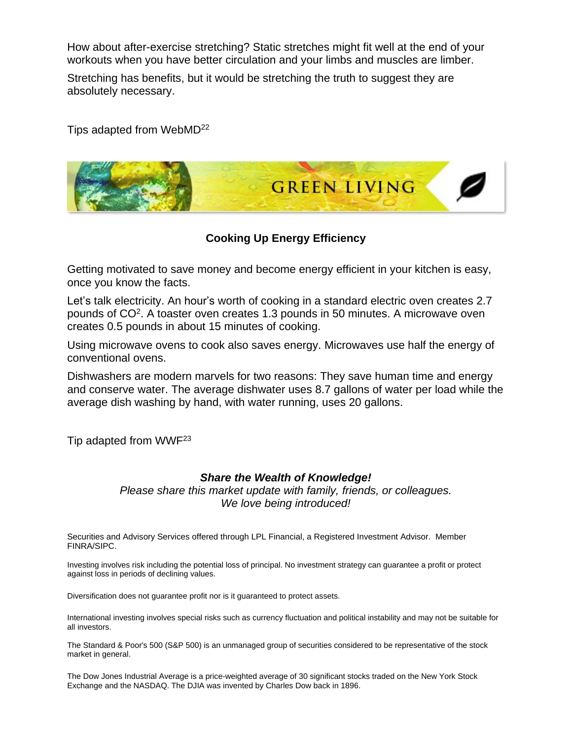How about after-exercise stretching? Static stretches might fit well at the end of your workouts when you have better circulation and your limbs and muscles are limber.

Stretching has benefits, but it would be stretching the truth to suggest they are absolutely necessary.

Tips adapted from WebMD<sup>22</sup>



**Cooking Up Energy Efficiency**

Getting motivated to save money and become energy efficient in your kitchen is easy, once you know the facts.

Let's talk electricity. An hour's worth of cooking in a standard electric oven creates 2.7 pounds of CO<sup>2</sup>. A toaster oven creates 1.3 pounds in 50 minutes. A microwave oven creates 0.5 pounds in about 15 minutes of cooking.

Using microwave ovens to cook also saves energy. Microwaves use half the energy of conventional ovens.

Dishwashers are modern marvels for two reasons: They save human time and energy and conserve water. The average dishwater uses 8.7 gallons of water per load while the average dish washing by hand, with water running, uses 20 gallons.

Tip adapted from WWF<sup>23</sup>

#### *Share the Wealth of Knowledge!*

*Please share this market update with family, friends, or colleagues. We love being introduced!*

Securities and Advisory Services offered through LPL Financial, a Registered Investment Advisor. Member FINRA/SIPC.

Investing involves risk including the potential loss of principal. No investment strategy can guarantee a profit or protect against loss in periods of declining values.

Diversification does not guarantee profit nor is it guaranteed to protect assets.

International investing involves special risks such as currency fluctuation and political instability and may not be suitable for all investors.

The Standard & Poor's 500 (S&P 500) is an unmanaged group of securities considered to be representative of the stock market in general.

The Dow Jones Industrial Average is a price-weighted average of 30 significant stocks traded on the New York Stock Exchange and the NASDAQ. The DJIA was invented by Charles Dow back in 1896.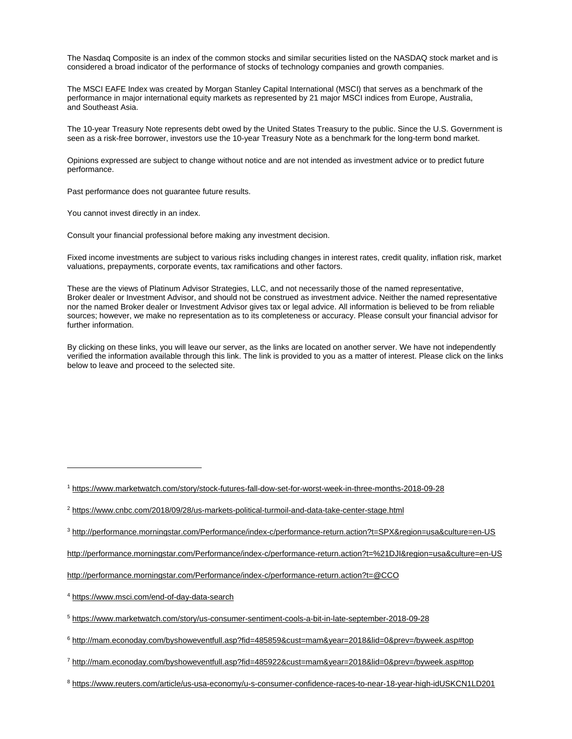The Nasdaq Composite is an index of the common stocks and similar securities listed on the NASDAQ stock market and is considered a broad indicator of the performance of stocks of technology companies and growth companies.

The MSCI EAFE Index was created by Morgan Stanley Capital International (MSCI) that serves as a benchmark of the performance in major international equity markets as represented by 21 major MSCI indices from Europe, Australia, and Southeast Asia.

The 10-year Treasury Note represents debt owed by the United States Treasury to the public. Since the U.S. Government is seen as a risk-free borrower, investors use the 10-year Treasury Note as a benchmark for the long-term bond market.

Opinions expressed are subject to change without notice and are not intended as investment advice or to predict future performance.

Past performance does not guarantee future results.

You cannot invest directly in an index.

Consult your financial professional before making any investment decision.

Fixed income investments are subject to various risks including changes in interest rates, credit quality, inflation risk, market valuations, prepayments, corporate events, tax ramifications and other factors.

These are the views of Platinum Advisor Strategies, LLC, and not necessarily those of the named representative, Broker dealer or Investment Advisor, and should not be construed as investment advice. Neither the named representative nor the named Broker dealer or Investment Advisor gives tax or legal advice. All information is believed to be from reliable sources; however, we make no representation as to its completeness or accuracy. Please consult your financial advisor for further information.

By clicking on these links, you will leave our server, as the links are located on another server. We have not independently verified the information available through this link. The link is provided to you as a matter of interest. Please click on the links below to leave and proceed to the selected site.

<sup>1</sup> <https://www.marketwatch.com/story/stock-futures-fall-dow-set-for-worst-week-in-three-months-2018-09-28>

3 [http://performance.morningstar.com/Performance/index-c/performance-return.action?t=SPX&region=usa&culture=en-US](http://performance.morningstar.com/Performance/index-c/performance-return.action?t=SPX®ion=usa&culture=en-US)

[http://performance.morningstar.com/Performance/index-c/performance-return.action?t=%21DJI&region=usa&culture=en-US](http://performance.morningstar.com/Performance/index-c/performance-return.action?t=%21DJI®ion=usa&culture=en-US)

<http://performance.morningstar.com/Performance/index-c/performance-return.action?t=@CCO>

<sup>4</sup> <https://www.msci.com/end-of-day-data-search>

 $\overline{a}$ 

<sup>5</sup> <https://www.marketwatch.com/story/us-consumer-sentiment-cools-a-bit-in-late-september-2018-09-28>

<sup>6</sup> <http://mam.econoday.com/byshoweventfull.asp?fid=485859&cust=mam&year=2018&lid=0&prev=/byweek.asp#top>

<sup>7</sup> <http://mam.econoday.com/byshoweventfull.asp?fid=485922&cust=mam&year=2018&lid=0&prev=/byweek.asp#top>

<sup>8</sup> <https://www.reuters.com/article/us-usa-economy/u-s-consumer-confidence-races-to-near-18-year-high-idUSKCN1LD201>

<sup>2</sup> <https://www.cnbc.com/2018/09/28/us-markets-political-turmoil-and-data-take-center-stage.html>